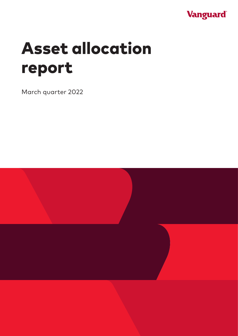

# Asset allocation report

March quarter 2022

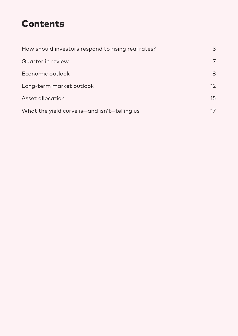### Contents

| How should investors respond to rising real rates? | 3  |
|----------------------------------------------------|----|
| Quarter in review                                  | 7  |
| Economic outlook                                   | 8  |
| Long-term market outlook                           | 12 |
| Asset allocation                                   | 15 |
| What the yield curve is-and isn't-telling us       | 17 |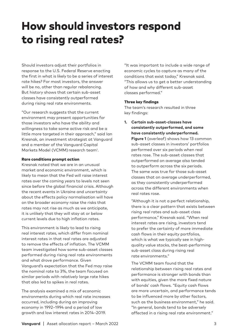### <span id="page-2-0"></span>How should investors respond to rising real rates?

Should investors adjust their portfolios in response to the U.S. Federal Reserve enacting the first in what is likely to be a series of interest rate hikes? For most investors, the answer will be no, other than regular rebalancing. But history shows that certain sub-asset classes have consistently outperformed during rising real rate environments.

"Our research suggests that the current environment may present opportunities for those investors who have the ability and willingness to take some active risk and be a little more targeted in their approach," said Ian Kresnak, an investment strategist at Vanguard and a member of the Vanguard Capital Markets Model (VCMM) research team<sup>1</sup>.

#### Rare conditions prompt action

Kresnak noted that we are in an unusual market and economic environment, which is likely to mean that the Fed will raise interest rates over the coming years to levels not seen since before the global financial crisis. Although the recent events in Ukraine and uncertainty about the effects policy normalisation will have on the broader economy raise the risks that rates may not rise as much as we anticipate, it is unlikely that they will stay at or below current levels due to high inflation rates.

This environment is likely to lead to rising real interest rates, which differ from nominal interest rates in that real rates are adjusted to remove the effects of inflation. The VCMM team investigated how some sub-asset classes performed during rising real rate environments and what drove performance. Given Vanguard's expectation that the Fed may raise the nominal rate to 3%, the team focused on similar periods with relatively large rate hikes that also led to spikes in real rates.

The analysis examined a mix of economic environments during which real rate increases occurred, including during an improving economy in 1992–1994 and a period of low growth and low interest rates in 2014–2019.

"It was important to include a wide range of economic cycles to capture as many of the conditions that exist today," Kresnak said. "This allows us to get a better understanding of how and why different sub-asset classes performed."

#### Three key findings

The team's research resulted in three key findings:

**1. Certain sub-asset-classes have consistently outperformed, and some have consistently underperformed. Figure 1** (overleaf) shows how 13 common sub-asset classes in investors' portfolios performed over six periods when real rates rose. The sub-asset classes that outperformed on average also tended to outperform across the six periods. The same was true for those sub-asset classes that on average underperformed, as they consistently underperformed across the different environments when real rates rose.

"Although it is not a perfect relationship, there is a clear pattern that exists between rising real rates and sub-asset class performance," Kresnak said. "When real interest rates are rising, investors tend to prefer the certainty of more immediate cash flows in their equity portfolios, which is what we typically see in highquality value stocks, the best-performing sub-asset class during rising real rate environments."

The VCMM team found that the relationship between rising real rates and performance is stronger with bonds than with equities, given the more fixed nature of bonds' cash flows. "Equity cash flows are more uncertain, and performance tends to be influenced more by other factors, such as the business environment," he said. "In general, bonds tend to be adversely affected in a rising real rate environment."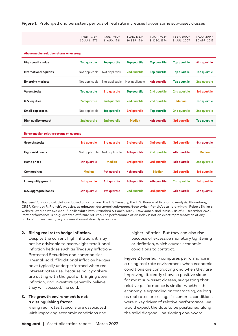Figure 1. Prolonged and persistent periods of real rate increases favour some sub-asset classes

| 30 JUN. 1976 31 AUG. 1981 30 SEP. 1984 31 DEC. 1994 31 JUL. 2007 30 APR. 2019 |  |  |
|-------------------------------------------------------------------------------|--|--|
|                                                                               |  |  |

**Above median relative returns on average**

| <b>High-quality value</b>  | <b>Top quartile</b> | Top quartile        | Top quartile        | Top quartile        | Top quartile        | 4th quartile        |
|----------------------------|---------------------|---------------------|---------------------|---------------------|---------------------|---------------------|
| International equities     | Not applicable      | Not applicable      | 2nd quartile        | <b>Top quartile</b> | <b>Top quartile</b> | <b>Top quartile</b> |
| <b>Emerging markets</b>    | Not applicable      | Not applicable      | Not applicable      | 4th quartile        | <b>Top quartile</b> | 2nd quartile        |
| <b>Value stocks</b>        | <b>Top quartile</b> | 3rd quartile        | <b>Top quartile</b> | 2nd quartile        | 2nd quartile        | 3rd quartile        |
| U.S. equities              | 2nd avartile        | 2nd quartile        | 2nd quartile        | 2nd avartile        | Median              | <b>Top quartile</b> |
| <b>Small-cap stocks</b>    | Not applicable      | <b>Top quartile</b> | 3rd quartile        | <b>Top quartile</b> | 2nd quartile        | 2nd quartile        |
| <b>High quality growth</b> | 2nd quartile        | 2nd quartile        | <b>Median</b>       | 4th quartile        | 3rd quartile        | <b>Top quartile</b> |

| Below median relative returns on average |                |                |              |               |              |               |  |
|------------------------------------------|----------------|----------------|--------------|---------------|--------------|---------------|--|
| <b>Growth stocks</b>                     | 3rd quartile   | 3rd quartile   | 3rd quartile | 3rd quartile  | 3rd quartile | 4th quartile  |  |
| High-yield bonds                         | Not applicable | Not applicable | 4th quartile | 2nd quartile  | 4th quartile | <b>Median</b> |  |
| Home prices                              | 4th quartile   | <b>Median</b>  | 3rd quartile | 3rd quartile  | 4th quartile | 2nd quartile  |  |
| <b>Commodities</b>                       | <b>Median</b>  | 4th quartile   | 4th quartile | <b>Median</b> | 3rd quartile | 3rd quartile  |  |
| Low-quality growth                       | 3rd quartile   | 4th quartile   | 4th quartile | 4th quartile  | 2nd quartile | 3rd quartile  |  |
| U.S. aggregate bonds                     | 4th quartile   | 4th quartile   | 2nd quartile | 3rd quartile  | 4th quartile | 4th quartile  |  |

Sources: Vanguard calculations, based on data from the U.S Treasury, the U.S. Bureau of Economic Analysis, Bloomberg, CRSP, Kenneth R. French's website, at mba.tuck.dartmouth.edu/pages/faculty/ken.french/data library.html, Robert Shiller's website, at aida.wss.yale.edu/~shiller/data.htm, Standard & Poor's, MSCI, Dow Jones, and Russell, as of 31 December 2021. Past performance is no guarantee of future returns. The performance of an index is not an exact representation of any particular investment, as you cannot invest directly in an index.

#### **2. Rising real rates hedge inflation.**

Despite the current high inflation, it may not be advisable to overweight traditional inflation hedges such as Treasury Inflation-Protected Securities and commodities, Kresnak said. "Traditional inflation hedges have typically underperformed when real interest rates rise, because policymakers are acting with the goal of bringing down inflation, and investors generally believe they will succeed," he said.

#### **3. The growth environment is not a distinguishing factor.**

Rising real rates typically are associated with improving economic conditions and higher inflation. But they can also rise because of excessive monetary tightening or deflation, which causes economic conditions to contract.

**Figure 2** (overleaf) compares performance in a rising real rate environment when economic conditions are contracting and when they are improving. It clearly shows a positive slope for most sub-asset classes, suggesting that relative performance is similar whether the economy is expanding or contracting, as long as real rates are rising. If economic conditions were a key driver of relative performance, we would expect the dots to be positioned along the solid diagonal line sloping downward.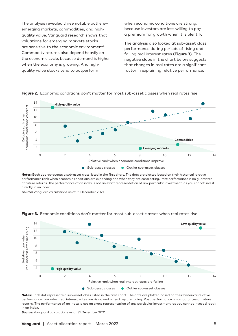The analysis revealed three notable outliers emerging markets, commodities, and highquality value. Vanguard research shows that valuations for emerging markets stocks are sensitive to the economic environment<sup>2</sup>. Commodity returns also depend heavily on the economic cycle, because demand is higher when the economy is growing. And highquality value stocks tend to outperform

when economic conditions are strong, because investors are less willing to pay a premium for growth when it is plentiful.

The analysis also looked at sub-asset class performance during periods of rising and falling real interest rates (**Figure 3**). The negative slope in the chart below suggests that changes in real rates are a significant factor in explaining relative performance.



Figure 2. Economic conditions don't matter for most sub-asset classes when real rates rise

Notes: Each dot represents a sub-asset class listed in the first chart. The dots are plotted based on their historical relative performance rank when economic conditions are expanding and when they are contracting. Past performance is no guarantee of future returns. The performance of an index is not an exact representation of any particular investment, as you cannot invest directly in an index.

**Source:** Vanguard calculations as of 31 December 2021.



#### Figure 3. Economic conditions don't matter for most sub-asset classes when real rates rise

Notes: Each dot represents a sub-asset class listed in the first chart. The dots are plotted based on their historical relative performance rank when real interest rates are rising and when they are falling. Past performance is no guarantee of future returns. The performance of an index is not an exact representation of any particular investment, as you cannot invest directly in an index.

Source: Vanguard calculations as of 31 December 2021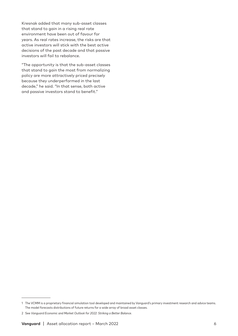Kresnak added that many sub-asset classes that stand to gain in a rising real rate environment have been out of favour for years. As real rates increase, the risks are that active investors will stick with the best active decisions of the past decade and that passive investors will fail to rebalance.

"The opportunity is that the sub-asset classes that stand to gain the most from normalizing policy are more attractively priced precisely because they underperformed in the last decade," he said. "In that sense, both active and passive investors stand to benefit."

<sup>1</sup> The VCMM is a proprietary financial simulation tool developed and maintained by Vanguard's primary investment research and advice teams. The model forecasts distributions of future returns for a wide array of broad asset classes.

<sup>2</sup> See *Vanguard Economic and Market Outlook for 2022: Striking a Better Balance*.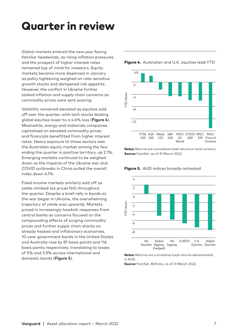### <span id="page-6-0"></span>Quarter in review

Global markets entered the new year facing familiar headwinds, as rising inflation pressures and the prospect of higher interest rates remained top of mind for investors. Equity markets became more dispersed in January as policy tightening weighed on rate-sensitive growth stocks and dampened risk appetite. However, the conflict in Ukraine further stoked inflation and supply chain concerns as commodity prices were sent soaring.

Volatility remained elevated as equities sold off over the quarter, with tech stocks leading global equities lower to a 4.6% loss (**Figure 4**). Meanwhile, energy and materials companies capitalised on elevated commodity prices and financials benefitted from higher interest rates. Heavy exposure to these sectors saw the Australian equity market among the few ending the quarter in positive territory, up 2.1%. Emerging markets continued to be weighed down as the impacts of the Ukraine war and COVID outbreaks in China pulled the overall index down 6.1%.

Fixed income markets similarly sold off as yields climbed (as prices fell) throughout the quarter. Despite a brief rally in bonds as the war began in Ukraine, the overwhelming trajectory of yields was upwards. Markets priced in increasingly hawkish responses from central banks as concerns focused on the compounding effects of surging commodity prices and further supply chain shocks on already heated and inflationary economies. 10-year government bonds in the United States and Australia rose by 81 basis points and 116 basis points respectively, translating to losses of 5% and 5.9% across international and domestic bonds (**Figure 5**).

#### Figure 4. Australian and U.K. equities lead YTD



Notes: Returns are cumulative total returns in local currency. Source: FactSet, as of 31 March 2022.





Notes: Returns are cumulative total returns denominated in AUD.

Source: FactSet, Refinitiv, as of 31 March 2022.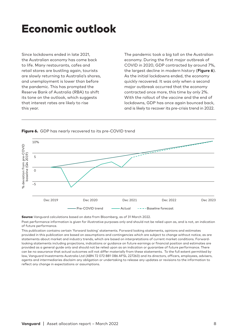### <span id="page-7-0"></span>Economic outlook

Since lockdowns ended in late 2021, the Australian economy has come back to life. Many restaurants, cafes and retail stores are bustling again, tourists are slowly returning to Australia's shores, and unemployment is lower than before the pandemic. This has prompted the Reserve Bank of Australia (RBA) to shift its tone on the outlook, which suggests that interest rates are likely to rise this year.

The pandemic took a big toll on the Australian economy. During the first major outbreak of COVID in 2020, GDP contracted by around 7%, the largest decline in modern history (**Figure 6**). As the initial lockdowns ended, the economy quickly recovered. It was only when a second major outbreak occurred that the economy contracted once more, this time by only 2%. With the rollout of the vaccine and the end of lockdowns, GDP has once again bounced back, and is likely to recover its pre-crisis trend in 2022.



Figure 6. GDP has nearly recovered to its pre-COVID trend

Source: Vanguard calculations based on data from Bloomberg, as of 31 March 2022.

Past performance information is given for illustrative purposes only and should not be relied upon as, and is not, an indication of future performance.

This publication contains certain 'forward looking' statements. Forward looking statements, opinions and estimates provided in this publication are based on assumptions and contingencies which are subject to change without notice, as are statements about market and industry trends, which are based on interpretations of current market conditions. Forwardlooking statements including projections, indications or guidance on future earnings or financial position and estimates are provided as a general guide only and should not be relied upon as an indication or guarantee of future performance. There can be no assurance that actual outcomes will not differ materially from these statements. To the full extent permitted by law, Vanguard Investments Australia Ltd (ABN 72 072 881 086 AFSL 227263) and its directors, officers, employees, advisers, agents and intermediaries disclaim any obligation or undertaking to release any updates or revisions to the information to reflect any change in expectations or assumptions.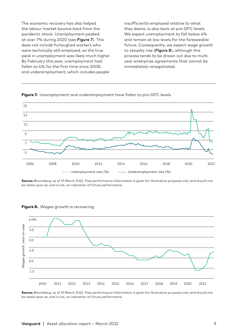The economic recovery has also helped the labour market bounce back from the pandemic shock. Unemployment peaked at over 7% during 2020 (see **Figure 7**). This does not include furloughed workers who were technically still employed, so the true peak in unemployment was likely much higher. By February this year, unemployment had fallen to 4% for the first time since 2008, and underemployment, which includes people

insufficiently employed relative to what they desire, is also back at pre-GFC levels. We expect unemployment to fall below 4% and remain at low levels for the foreseeable future. Consequently, we expect wage growth to steadily rise (**Figure 8**), although this process tends to be drawn out due to multiyear enterprise agreements that cannot be immediately renegotiated.

Figure 7. Unemployment and underemployment have fallen to pre-GFC levels



Source: Bloomberg, as of 31 March 2022. Past performance information is given for illustrative purposes only and should not be relied upon as, and is not, an indication of future performance.



Figure 8. Wages growth is recovering

Source: Bloomberg, as of 31 March 2022. Past performance information is given for illustrative purposes only and should not be relied upon as, and is not, an indication of future performance.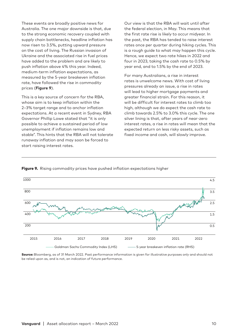These events are broadly positive news for Australia. The one major downside is that, due to the strong economic recovery coupled with supply chain bottlenecks, headline inflation has now risen to 3.5%, putting upward pressure on the cost of living. The Russian invasion of Ukraine and the associated rise in fuel prices have added to the problem and are likely to push inflation above 4% this year. Indeed, medium-term inflation expectations, as measured by the 5-year breakeven inflation rate, have followed the rise in commodity prices (**Figure 9**).

This is a key source of concern for the RBA, whose aim is to keep inflation within the 2–3% target range and to anchor inflation expectations. At a recent event in Sydney, RBA Governor Phillip Lowe stated that "it is only possible to achieve a sustained period of low unemployment if inflation remains low and stable". This hints that the RBA will not tolerate runaway inflation and may soon be forced to start raising interest rates.

Our view is that the RBA will wait until after the federal election, in May. This means that the first rate rise is likely to occur midyear. In the past, the RBA has tended to raise interest rates once per quarter during hiking cycles. This is a rough guide to what may happen this cycle. Hence, we expect two rate hikes in 2022 and four in 2023, taking the cash rate to 0.5% by year end, and to 1.5% by the end of 2023.

For many Australians, a rise in interest rates is unwelcome news. With cost of living pressures already an issue, a rise in rates will lead to higher mortgage payments and greater financial strain. For this reason, it will be difficult for interest rates to climb too high, although we do expect the cash rate to climb towards 2.5% to 3.0% this cycle. The one silver lining is that, after years of near-zero interest rates, a rise in rates will mean that the expected return on less risky assets, such as fixed income and cash, will slowly improve.



#### Figure 9. Rising commodity prices have pushed inflation expectations higher

Source: Bloomberg, as of 31 March 2022. Past performance information is given for illustrative purposes only and should not be relied upon as, and is not, an indication of future performance.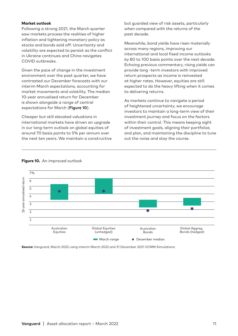#### Market outlook

Following a strong 2021, the March quarter saw markets process the realities of higher inflation and tightening monetary policy as stocks and bonds sold off. Uncertainty and volatility are expected to persist as the conflict in Ukraine continues and China navigates COVID outbreaks.

Given the pace of change in the investment environment over the past quarter, we have contrasted our December forecasts with our interim March expectations, accounting for market movements and volatility. The median 10-year annualised return for December is shown alongside a range of central expectations for March (**Figure 10**).

Cheaper but still elevated valuations in international markets have driven an upgrade in our long-term outlook on global equities of around 70 basis points to 5% per annum over the next ten years. We maintain a constructive but guarded view of risk assets, particularly when compared with the returns of the past decade.

Meanwhile, bond yields have risen materially across many regions, improving our international and local fixed income outlooks by 80 to 100 basis points over the next decade. Echoing previous commentary, rising yields can provide long -term investors with improved return prospects as income is reinvested at higher rates. However, equities are still expected to do the heavy lifting when it comes to delivering returns.

As markets continue to navigate a period of heightened uncertainty, we encourage investors to maintain a long-term view of their investment journey and focus on the factors within their control. This means keeping sight of investment goals, aligning their portfolios and plan, and maintaining the discipline to tune out the noise and stay the course.



#### **Figure 10.** An improved outlook

Source: Vanguard, March 2022 using interim March 2022 and 31 December 2021 VCMM Simulations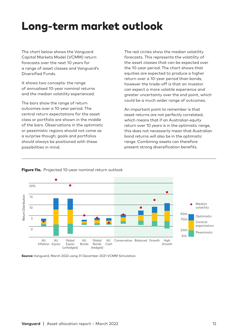### <span id="page-11-0"></span>Long-term market outlook

The chart below shows the Vanguard Capital Markets Model (VCMM) return forecasts over the next 10 years for a range of asset classes and Vanguard's Diversified Funds.

It shows two concepts: the range of annualised 10-year nominal returns and the median volatility experienced.

The bars show the range of return outcomes over a 10-year period. The central return expectations for the asset class or portfolio are shown in the middle of the bars. Observations in the optimistic or pessimistic regions should not come as a surprise though; goals and portfolios should always be positioned with these possibilities in mind.

The red circles show the median volatility forecasts. This represents the volatility of the asset classes that can be expected over the 10-year period. The chart shows that equities are expected to produce a higher return over a 10-year period than bonds, however the trade-off is that an investor can expect a more volatile experience and greater uncertainty over the end point, which could be a much wider range of outcomes.

An important point to remember is that asset returns are not perfectly correlated, which means that if an Australian equity return over 10 years is in the optimistic range, this does not necessarily mean that Australian bond returns will also be in the optimistic range. Combining assets can therefore present strong diversification benefits.



#### Figure 11a. Projected 10-year nominal return outlook

Source: Vanguard, March 2022 using 31 December 2021 VCMM Simulation.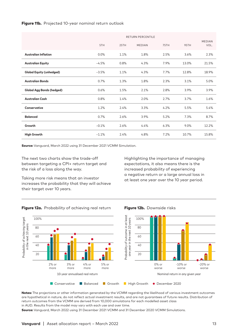#### Figure 11b. Projected 10-year nominal return outlook

|                                  | <b>RETURN PERCENTILE</b> |      |               |      |       |                       |
|----------------------------------|--------------------------|------|---------------|------|-------|-----------------------|
|                                  | 5TH                      | 25TH | <b>MEDIAN</b> | 75TH | 95TH  | <b>MEDIAN</b><br>VOL. |
| <b>Australian Inflation</b>      | 0.0%                     | 1.1% | 1.8%          | 2.5% | 3.6%  | 2.3%                  |
| <b>Australian Equity</b>         | $-4.5%$                  | 0.8% | 4.3%          | 7.9% | 13.0% | 21.5%                 |
| <b>Global Equity (unhedged)</b>  | $-3.5%$                  | 1.1% | 4.3%          | 7.7% | 12.8% | 18.9%                 |
| <b>Australian Bonds</b>          | 0.7%                     | 1.3% | 1.8%          | 2.3% | 3.1%  | 5.0%                  |
| <b>Global Agg Bonds (hedged)</b> | 0.6%                     | 1.5% | 2.1%          | 2.8% | 3.9%  | 3.9%                  |
| <b>Australian Cash</b>           | 0.8%                     | 1.4% | 2.0%          | 2.7% | 3.7%  | 1.6%                  |
| Conservative                     | 1.2%                     | 2.4% | 3.3%          | 4.2% | 5.5%  | 5.4%                  |
| <b>Balanced</b>                  | 0.7%                     | 2.6% | 3.9%          | 5.2% | 7.3%  | 8.7%                  |
| Growth                           | $-0.1%$                  | 2.6% | 4.4%          | 6.3% | 9.0%  | 12.2%                 |
| <b>High Growth</b>               | $-1.1%$                  | 2.4% | 4.8%          | 7.2% | 10.7% | 15.8%                 |

Source: Vanguard, March 2022 using 31 December 2021 VCMM Simulation.

The next two charts show the trade-off between targeting a CPI+ return target and the risk of a loss along the way.

Taking more risk means that an investor increases the probability that they will achieve their target over 10 years.

Highlighting the importance of managing expectations, it also means there is the increased probability of experiencing a negative return or a large annual loss in at least one year over the 10 year period.

#### Figure 12a. Probability of achieving real return Figure 12b. Downside risks



Notes: The projections or other information generated by the VCMM regarding the likelihood of various investment outcomes are hypothetical in nature, do not reflect actual investment results, and are not guarantees of future results. Distribution of return outcomes from the VCMM are derived from 10,000 simulations for each modelled asset class in AUD. Results from the model may vary with each use and over time.

Source: Vanguard, March 2022 using 31 December 2021 VCMM and 31 December 2020 VCMM Simulations.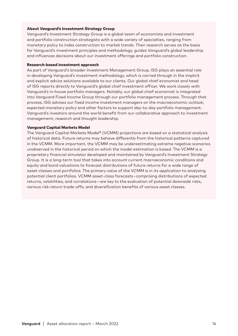#### About Vanguard's Investment Strategy Group

Vanguard's Investment Strategy Group is a global team of economists and investment and portfolio construction strategists with a wide variety of specialties, ranging from monetary policy to index construction to market trends. Their research serves as the basis for Vanguard's investment principles and methodology, guides Vanguard's global leadership and influences decisions about our investment offerings and portfolio construction.

#### Research-based investment approach

As part of Vanguard's broader Investment Management Group, ISG plays an essential role in developing Vanguard's investment methodology, which is carried through in the implicit and explicit advice solutions available to our clients. Our global chief economist and head of ISG reports directly to Vanguard's global chief investment officer. We work closely with Vanguard's in-house portfolio managers. Notably, our global chief economist is integrated into Vanguard Fixed Income Group through our portfolio management process. Through that process, ISG advises our fixed income investment managers on the macroeconomic outlook, expected monetary policy and other factors to support day-to-day portfolio management. Vanguard's investors around the world benefit from our collaborative approach to investment management, research and thought leadership.

#### Vanguard Capital Markets Model

The Vanguard Capital Markets Model® (VCMM) projections are based on a statistical analysis of historical data. Future returns may behave differently from the historical patterns captured in the VCMM. More important, the VCMM may be underestimating extreme negative scenarios unobserved in the historical period on which the model estimation is based. The VCMM is a proprietary financial simulator developed and maintained by Vanguard's Investment Strategy Group. It is a long-term tool that takes into account current macroeconomic conditions and equity and bond valuations to forecast distributions of future returns for a wide range of asset classes and portfolios. The primary value of the VCMM is in its application to analysing potential client portfolios. VCMM asset-class forecasts – comprising distributions of expected returns, volatilities, and correlations — are key to the evaluation of potential downside risks, various risk-return trade-offs, and diversification benefits of various asset classes.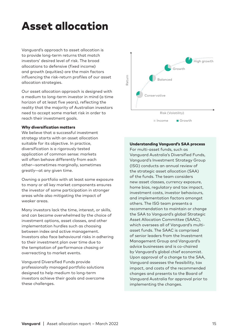## <span id="page-14-0"></span>Asset allocation

Vanguard's approach to asset allocation is to provide long-term returns that match investors' desired level of risk. The broad allocations to defensive (fixed income) and growth (equities) are the main factors influencing the risk-return profiles of our asset allocation strategies.

Our asset allocation approach is designed with a medium to long-term investor in mind (a time horizon of at least five years), reflecting the reality that the majority of Australian investors need to accept some market risk in order to reach their investment goals.

#### Why diversification matters

We believe that a successful investment strategy starts with an asset allocation suitable for its objective. In practice, diversification is a rigorously tested application of common sense: markets will often behave differently from each other—sometimes marginally, sometimes greatly—at any given time.

Owning a portfolio with at least some exposure to many or all key market components ensures the investor of some participation in stronger areas while also mitigating the impact of weaker areas.

Many investors lack the time, interest, or skills, and can become overwhelmed by the choice of investment options, asset classes, and other implementation hurdles such as choosing between index and active management. Investors also face behavioural risks in adhering to their investment plan over time due to the temptation of performance chasing or overreacting to market events.

Vanguard Diversified Funds provide professionally managed portfolio solutions designed to help medium to long-term investors achieve their goals and overcome these challenges.



#### Understanding Vanguard's SAA process

For multi-asset funds, such as Vanguard Australia's Diversified Funds, Vanguard's Investment Strategy Group (ISG) conducts an annual review of the strategic asset allocation (SAA) of the funds. The team considers new asset classes, currency exposure, home bias, regulatory and tax impact, investment costs, investor behaviours, and implementation factors amongst others. The ISG team presents a recommendation to maintain or change the SAA to Vanguard's global Strategic Asset Allocation Committee (SAAC), which oversees all of Vanguard's multiasset funds. The SAAC is comprised of senior leaders from the Investment Management Group and Vanguard's advice businesses and is co-chaired by Vanguard's global chief economist. Upon approval of a change to the SAA, Vanguard assesses the feasibility, tax impact, and costs of the recommended changes and presents to the Board of Vanguard Australia for approval prior to implementing the changes.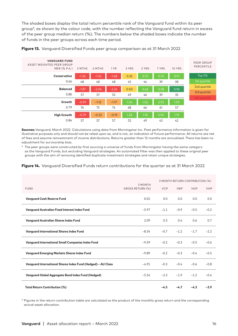The shaded boxes display the total return percentile rank of the Vanguard fund within its peer group\*, as shown by the colour code, with the number reflecting the Vanguard fund return in excess of the peer group median return (%). The numbers below the shaded boxes indicate the number of funds in the peer groups across each time period.



Figure 13. Vanguard Diversified Funds peer group comparison as at 31 March 2022

Sources: Vanguard, March 2022. Calculations using data from Morningstar Inc. Past performance information is given for illustrative purposes only and should not be relied upon as, and is not, an indication of future performance. All returns are net of fees and assume reinvestment of income distributions. Returns greater than 12 months are annualised. There has been no adjustment for survivorship bias.

\* The peer groups were constructed by first sourcing a universe of funds from Morningstar having the same category as the Vanguard Funds, but excluding Vanguard strategies. An automated filter was then applied to these original peer groups with the aim of removing identified duplicate investment strategies and retain unique strategies.

#### Figure 14. Vanguard Diversified Funds return contributions for the quarter as at 31 March 2022

|                                                              | 3 MONTH          | 3 MONTH RETURN CONTRIBUTION (%) |             |             |             |
|--------------------------------------------------------------|------------------|---------------------------------|-------------|-------------|-------------|
| <b>FUND</b>                                                  | GROSS RETURN (%) | <b>VCIF</b>                     | <b>VBIF</b> | <b>VGIF</b> | <b>VHIF</b> |
| <b>Vanguard Cash Reserve Fund</b>                            | 0.02             | 0.0                             | 0.0         | 0.0         | 0.0         |
| <b>Vanguard Australian Fixed Interest Index Fund</b>         | $-5.97$          | $-1.1$                          | $-0.9$      | $-0.5$      | $-0.2$      |
| <b>Vanguard Australian Shares Index Fund</b>                 | 2.09             | 0.3                             | 0.4         | 0.6         | 0.7         |
| <b>Vanguard International Shares Index Fund</b>              | $-8.34$          | $-0.7$                          | $-1.2$      | $-1.7$      | $-2.2$      |
| <b>Vanguard International Small Companies Index Fund</b>     | $-9.59$          | $-0.2$                          | $-0.3$      | $-0.5$      | $-0.6$      |
| <b>Vanguard Emerging Markets Shares Index Fund</b>           | $-9.89$          | $-0.2$                          | $-0.3$      | $-0.4$      | $-0.5$      |
| Vanguard International Shares Index Fund (Hedged) - AU Class | $-4.91$          | $-0.3$                          | $-0.4$      | $-0.6$      | $-0.8$      |
| <b>Vanguard Global Aggregate Bond Index Fund (Hedged)</b>    | $-5.54$          | $-2.3$                          | $-1.9$      | $-1.2$      | $-0.4$      |
| <b>Total Return Contribution (%)</b>                         |                  | $-4.5$                          | $-4.7$      | $-4.3$      | $-3.9$      |

\* Figures in the return contribution table are calculated as the product of the monthly gross return and the corresponding actual asset allocation.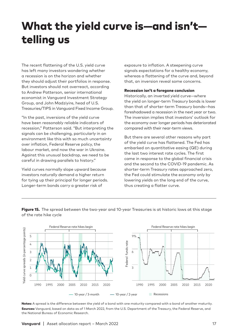## <span id="page-16-0"></span>What the yield curve is—and isn't telling us

The recent flattening of the U.S. yield curve has left many investors wondering whether a recession is on the horizon and whether they should adjust their portfolios in response. But investors should not overreact, according to Andrew Patterson, senior international economist in Vanguard Investment Strategy Group, and John Madziyire, head of U.S. Treasuries/TIPS in Vanguard Fixed Income Group.

"In the past, inversions of the yield curve have been reasonably reliable indicators of recession," Patterson said. "But interpreting the signals can be challenging, particularly in an environment like this with so much uncertainty over inflation, Federal Reserve policy, the labour market, and now the war in Ukraine. Against this unusual backdrop, we need to be careful in drawing parallels to history."

Yield curves normally slope upward because investors naturally demand a higher return for tying up their principal for longer periods. Longer-term bonds carry a greater risk of

exposure to inflation. A steepening curve signals expectations for a healthy economy, whereas a flattening of the curve and, beyond that, an inversion reveal some concerns.

#### Recession isn't a foregone conclusion

Historically, an inverted yield curve—where the yield on longer-term Treasury bonds is lower than that of shorter-term Treasury bonds—has foreshadowed a recession in the next year or two. The inversion implies that investors' outlook for the economy over longer periods has deteriorated compared with their near-term views.

But there are several other reasons why part of the yield curve has flattened. The Fed has embarked on quantitative easing (QE) during the last two interest rate cycles. The first came in response to the global financial crisis and the second to the COVID-19 pandemic. As shorter-term Treasury rates approached zero, the Fed could stimulate the economy only by lowering yields on the long end of the curve, thus creating a flatter curve.



Figure 15. The spread between the two-year and 10-year Treasuries is at historic lows at this stage of the rate hike cycle

Notes: A spread is the difference between the yield of a bond with one maturity compared with a bond of another maturity. Sources: Vanguard, based on data as of 1 March 2022, from the U.S. Department of the Treasury, the Federal Reserve, and the National Bureau of Economic Research.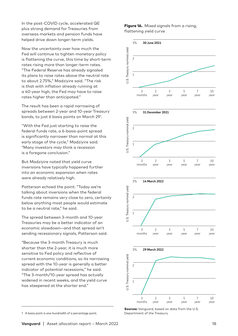In the post-COVID cycle, accelerated QE plus strong demand for Treasuries from overseas markets and pension funds have helped drive down longer-term yields.

Now the uncertainty over how much the Fed will continue to tighten monetary policy is flattening the curve, this time by short-term rates rising more than longer-term rates. "The Federal Reserve has already signaled its plans to raise rates above the neutral rate to about 2.75%," Madziyire said. "The risk is that with inflation already running at a 40-year high, the Fed may have to raise rates higher than anticipated."

The result has been a rapid narrowing of spreads between 2-year and 10-year Treasury bonds, to just 6 basis points on March 291 .

"With the Fed just starting to raise the federal funds rate, a 6-basis-point spread is significantly narrower than normal at this early stage of the cycle," Madziyire said. "Many investors may think a recession is a foregone conclusion."

But Madziyire noted that yield curve inversions have typically happened further into an economic expansion when rates were already relatively high.

Patterson echoed the point: "Today we're talking about inversions when the federal funds rate remains very close to zero, certainly below anything most people would estimate to be a neutral rate," he said.

The spread between 3-month and 10-year Treasuries may be a better indicator of an economic slowdown—and that spread isn't sending recessionary signals, Patterson said.

"Because the 3-month Treasury is much shorter than the 2-year, it is much more sensitive to Fed policy and reflective of current economic conditions, so its narrowing spread with the 10-year is generally a better indicator of potential recessions," he said. "The 3-month/10-year spread has actually widened in recent weeks, and the yield curve has steepened at the shorter end."

#### Figure 16. Mixed signals from a rising, flattening yield curve



**Sources:** Vanauard, based on data from the U.S. Department of the Treasury.

<sup>1</sup> A basis point is one-hundredth of a percentage point.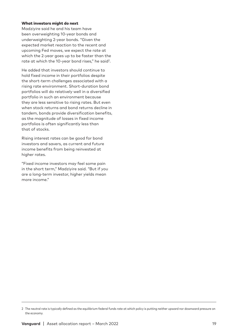#### What investors might do next

Madziyire said he and his team have been overweighting 10-year bonds and underweighting 2-year bonds. "Given the expected market reaction to the recent and upcoming Fed moves, we expect the rate at which the 2-year goes up to be faster than the rate at which the 10-year bond rises," he said<sup>2</sup>.

He added that investors should continue to hold fixed income in their portfolios despite the short-term challenges associated with a rising rate environment. Short-duration bond portfolios will do relatively well in a diversified portfolio in such an environment because they are less sensitive to rising rates. But even when stock returns and bond returns decline in tandem, bonds provide diversification benefits, as the magnitude of losses in fixed income portfolios is often significantly less than that of stocks.

Rising interest rates can be good for bond investors and savers, as current and future income benefits from being reinvested at higher rates.

"Fixed income investors may feel some pain in the short term," Madziyire said. "But if you are a long-term investor, higher yields mean more income."

<sup>2</sup> The neutral rate is typically defined as the equilibrium federal funds rate at which policy is putting neither upward nor downward pressure on the economy.